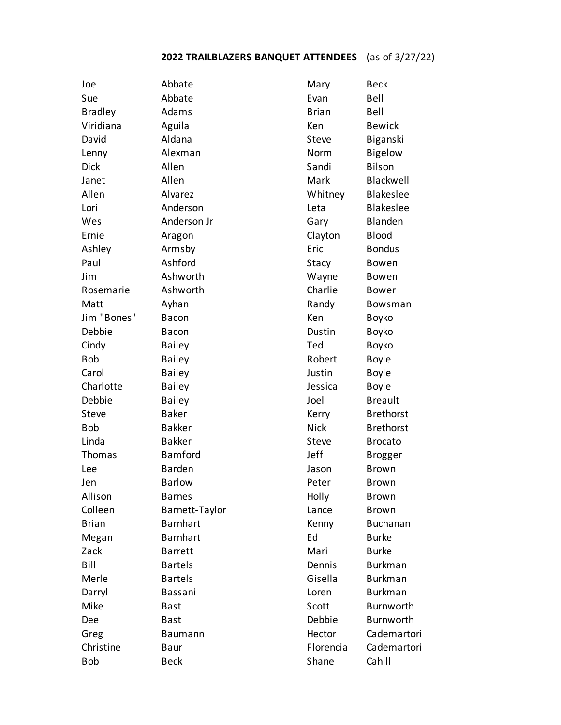## **2022 TRAILBLAZERS BANQUET ATTENDEES** (as of 3/27/22)

| Joe            | Abbate          | Mary         | <b>Beck</b>      |
|----------------|-----------------|--------------|------------------|
| Sue            | Abbate          | Evan         | Bell             |
| <b>Bradley</b> | Adams           | <b>Brian</b> | Bell             |
| Viridiana      | Aguila          | Ken          | <b>Bewick</b>    |
| David          | Aldana          | Steve        | Biganski         |
| Lenny          | Alexman         | Norm         | <b>Bigelow</b>   |
| <b>Dick</b>    | Allen           | Sandi        | Bilson           |
| Janet          | Allen           | Mark         | Blackwell        |
| Allen          | Alvarez         | Whitney      | <b>Blakeslee</b> |
| Lori           | Anderson        | Leta         | <b>Blakeslee</b> |
| Wes            | Anderson Jr     | Gary         | Blanden          |
| Ernie          | Aragon          | Clayton      | <b>Blood</b>     |
| Ashley         | Armsby          | Eric         | <b>Bondus</b>    |
| Paul           | Ashford         | Stacy        | Bowen            |
| Jim            | Ashworth        | Wayne        | Bowen            |
| Rosemarie      | Ashworth        | Charlie      | <b>Bower</b>     |
| Matt           | Ayhan           | Randy        | Bowsman          |
| Jim "Bones"    | <b>Bacon</b>    | Ken          | <b>Boyko</b>     |
| Debbie         | <b>Bacon</b>    | Dustin       | <b>Boyko</b>     |
| Cindy          | <b>Bailey</b>   | Ted          | <b>Boyko</b>     |
| <b>Bob</b>     | <b>Bailey</b>   | Robert       | <b>Boyle</b>     |
| Carol          | <b>Bailey</b>   | Justin       | <b>Boyle</b>     |
| Charlotte      | <b>Bailey</b>   | Jessica      | <b>Boyle</b>     |
| Debbie         | <b>Bailey</b>   | Joel         | <b>Breault</b>   |
| Steve          | <b>Baker</b>    | Kerry        | <b>Brethorst</b> |
| <b>Bob</b>     | <b>Bakker</b>   | <b>Nick</b>  | <b>Brethorst</b> |
| Linda          | <b>Bakker</b>   | <b>Steve</b> | <b>Brocato</b>   |
| Thomas         | <b>Bamford</b>  | Jeff         | <b>Brogger</b>   |
| Lee            | <b>Barden</b>   | Jason        | <b>Brown</b>     |
| Jen            | <b>Barlow</b>   | Peter        | <b>Brown</b>     |
| Allison        | <b>Barnes</b>   | Holly        | <b>Brown</b>     |
| Colleen        | Barnett-Taylor  | Lance        | <b>Brown</b>     |
| <b>Brian</b>   | <b>Barnhart</b> | Kenny        | <b>Buchanan</b>  |
| Megan          | <b>Barnhart</b> | Ed           | <b>Burke</b>     |
| Zack           | <b>Barrett</b>  | Mari         | <b>Burke</b>     |
| Bill           | <b>Bartels</b>  | Dennis       | <b>Burkman</b>   |
| Merle          | <b>Bartels</b>  | Gisella      | <b>Burkman</b>   |
| Darryl         | Bassani         | Loren        | <b>Burkman</b>   |
| Mike           | <b>Bast</b>     | Scott        | <b>Burnworth</b> |
| Dee            | <b>Bast</b>     | Debbie       | Burnworth        |
| Greg           | <b>Baumann</b>  | Hector       | Cademartori      |
| Christine      | Baur            | Florencia    | Cademartori      |
| <b>Bob</b>     | <b>Beck</b>     | Shane        | Cahill           |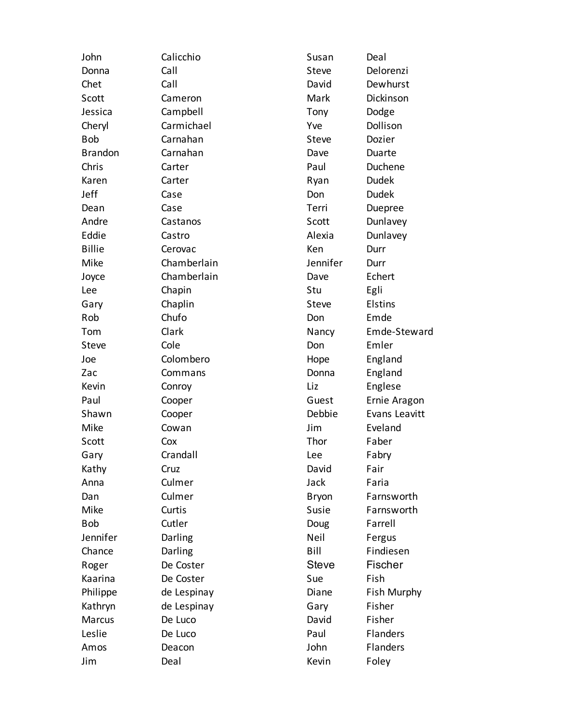| John           | Calicchio   | Susan        | Deal          |
|----------------|-------------|--------------|---------------|
| Donna          | Call        | <b>Steve</b> | Delorenzi     |
| Chet           | Call        | David        | Dewhurst      |
| Scott          | Cameron     | Mark         | Dickinson     |
| Jessica        | Campbell    | Tony         | Dodge         |
| Cheryl         | Carmichael  | Yve          | Dollison      |
| <b>Bob</b>     | Carnahan    | <b>Steve</b> | Dozier        |
| <b>Brandon</b> | Carnahan    | Dave         | Duarte        |
| Chris          | Carter      | Paul         | Duchene       |
| Karen          | Carter      | Ryan         | <b>Dudek</b>  |
| Jeff           | Case        | Don          | <b>Dudek</b>  |
| Dean           | Case        | Terri        | Duepree       |
| Andre          | Castanos    | Scott        | Dunlavey      |
| Eddie          | Castro      | Alexia       | Dunlavey      |
| <b>Billie</b>  | Cerovac     | Ken          | Durr          |
| Mike           | Chamberlain | Jennifer     | Durr          |
| Joyce          | Chamberlain | Dave         | Echert        |
| Lee            | Chapin      | Stu          | Egli          |
| Gary           | Chaplin     | Steve        | Elstins       |
| Rob            | Chufo       | Don          | Emde          |
| Tom            | Clark       | Nancy        | Emde-Steward  |
| Steve          | Cole        | Don          | Emler         |
| Joe            | Colombero   | Hope         | England       |
| Zac            | Commans     | Donna        | England       |
| Kevin          | Conroy      | Liz          | Englese       |
| Paul           | Cooper      | Guest        | Ernie Aragon  |
| Shawn          | Cooper      | Debbie       | Evans Leavitt |
| Mike           | Cowan       | Jim          | Eveland       |
| Scott          | Cox         | Thor         | Faber         |
| Gary           | Crandall    | Lee          | Fabry         |
| Kathy          | Cruz        | David        | Fair          |
| Anna           | Culmer      | Jack         | Faria         |
| Dan            | Culmer      | <b>Bryon</b> | Farnsworth    |
| Mike           | Curtis      | Susie        | Farnsworth    |
| <b>Bob</b>     | Cutler      | Doug         | Farrell       |
| Jennifer       | Darling     | Neil         | Fergus        |
| Chance         | Darling     | Bill         | Findiesen     |
| Roger          | De Coster   | <b>Steve</b> | Fischer       |
| Kaarina        | De Coster   | Sue          | Fish          |
| Philippe       | de Lespinay | Diane        | Fish Murphy   |
| Kathryn        | de Lespinay | Gary         | Fisher        |
| Marcus         | De Luco     | David        | Fisher        |
| Leslie         | De Luco     | Paul         | Flanders      |
| Amos           | Deacon      | John         | Flanders      |
| Jim            | Deal        | Kevin        | Foley         |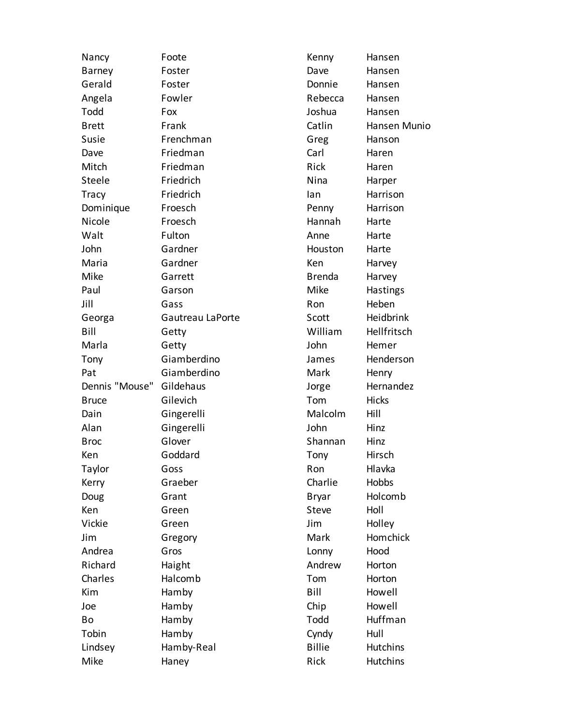| Nancy          | Foote            | Kenny         | Hansen          |
|----------------|------------------|---------------|-----------------|
| <b>Barney</b>  | Foster           | Dave          | Hansen          |
| Gerald         | Foster           | Donnie        | Hansen          |
| Angela         | Fowler           | Rebecca       | Hansen          |
| Todd           | Fox              | Joshua        | Hansen          |
| <b>Brett</b>   | Frank            | Catlin        | Hansen Munio    |
| Susie          | Frenchman        | Greg          | Hanson          |
| Dave           | Friedman         | Carl          | Haren           |
| Mitch          | Friedman         | Rick          | Haren           |
| Steele         | Friedrich        | Nina          | Harper          |
| Tracy          | Friedrich        | lan           | Harrison        |
| Dominique      | Froesch          | Penny         | Harrison        |
| Nicole         | Froesch          | Hannah        | Harte           |
| Walt           | Fulton           | Anne          | Harte           |
| John           | Gardner          | Houston       | Harte           |
| Maria          | Gardner          | Ken           | Harvey          |
| Mike           | Garrett          | <b>Brenda</b> | Harvey          |
| Paul           | Garson           | Mike          | Hastings        |
| Jill           | Gass             | Ron           | Heben           |
| Georga         | Gautreau LaPorte | Scott         | Heidbrink       |
| Bill           | Getty            | William       | Hellfritsch     |
| Marla          | Getty            | John          | Hemer           |
| Tony           | Giamberdino      | James         | Henderson       |
| Pat            | Giamberdino      | Mark          | Henry           |
| Dennis "Mouse" | Gildehaus        | Jorge         | Hernandez       |
| <b>Bruce</b>   | Gilevich         | Tom           | <b>Hicks</b>    |
| Dain           | Gingerelli       | Malcolm       | Hill            |
| Alan           | Gingerelli       | John          | Hinz            |
| <b>Broc</b>    | Glover           | Shannan       | Hinz            |
| Ken            | Goddard          | Tony          | Hirsch          |
| Taylor         | Goss             | Ron           | Hlavka          |
| Kerry          | Graeber          | Charlie       | Hobbs           |
| Doug           | Grant            | <b>Bryar</b>  | Holcomb         |
| Ken            | Green            | Steve         | Holl            |
| Vickie         | Green            | Jim           | Holley          |
| Jim            | Gregory          | Mark          | Homchick        |
| Andrea         | Gros             | Lonny         | Hood            |
| Richard        | Haight           | Andrew        | Horton          |
| Charles        | Halcomb          | Tom           | Horton          |
| Kim            | Hamby            | Bill          | Howell          |
| Joe            | Hamby            | Chip          | Howell          |
| Bo             | Hamby            | Todd          | Huffman         |
| Tobin          | Hamby            | Cyndy         | Hull            |
| Lindsey        | Hamby-Real       | <b>Billie</b> | <b>Hutchins</b> |
| Mike           | Haney            | Rick          | <b>Hutchins</b> |
|                |                  |               |                 |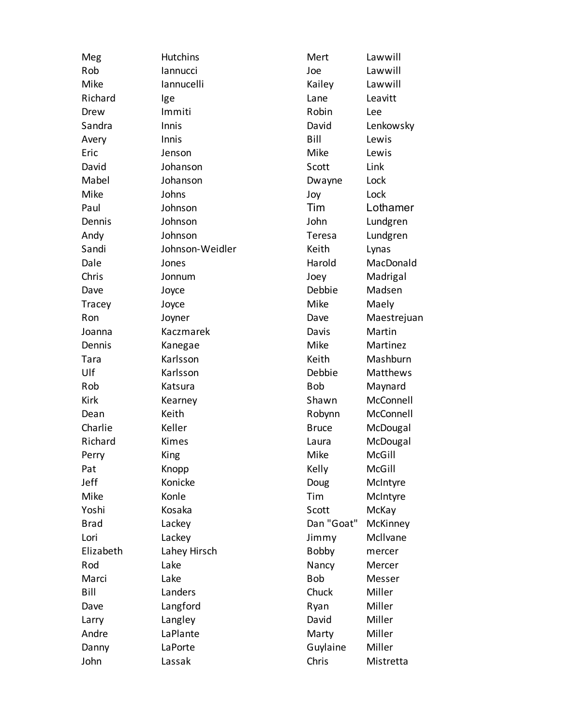| Meg         | <b>Hutchins</b> | Mert         | Lawwill     |
|-------------|-----------------|--------------|-------------|
| Rob         | lannucci        | Joe          | Lawwill     |
| Mike        | lannucelli      | Kailey       | Lawwill     |
| Richard     | lge             | Lane         | Leavitt     |
| Drew        | Immiti          | Robin        | Lee         |
| Sandra      | Innis           | David        | Lenkowsky   |
| Avery       | Innis           | Bill         | Lewis       |
| Eric        | Jenson          | Mike         | Lewis       |
| David       | Johanson        | Scott        | Link        |
| Mabel       | Johanson        | Dwayne       | Lock        |
| Mike        | Johns           | Joy          | Lock        |
| Paul        | Johnson         | Tim          | Lothamer    |
| Dennis      | Johnson         | John         | Lundgren    |
| Andy        | Johnson         | Teresa       | Lundgren    |
| Sandi       | Johnson-Weidler | Keith        | Lynas       |
| Dale        | Jones           | Harold       | MacDonald   |
| Chris       | Jonnum          | Joey         | Madrigal    |
| Dave        | Joyce           | Debbie       | Madsen      |
| Tracey      | Joyce           | Mike         | Maely       |
| Ron         | Joyner          | Dave         | Maestrejuan |
| Joanna      | Kaczmarek       | Davis        | Martin      |
| Dennis      | Kanegae         | Mike         | Martinez    |
| Tara        | Karlsson        | Keith        | Mashburn    |
| Ulf         | Karlsson        | Debbie       | Matthews    |
| Rob         | Katsura         | <b>Bob</b>   | Maynard     |
| <b>Kirk</b> | Kearney         | Shawn        | McConnell   |
| Dean        | Keith           | Robynn       | McConnell   |
| Charlie     | Keller          | <b>Bruce</b> | McDougal    |
| Richard     | Kimes           | Laura        | McDougal    |
| Perry       | King            | Mike         | McGill      |
| Pat         | Knopp           | Kelly        | McGill      |
| Jeff        | Konicke         | Doug         | McIntyre    |
| Mike        | Konle           | Tim          | McIntyre    |
| Yoshi       | Kosaka          | Scott        | McKay       |
| <b>Brad</b> | Lackey          | Dan "Goat"   | McKinney    |
| Lori        | Lackey          | Jimmy        | McIlvane    |
| Elizabeth   | Lahey Hirsch    | <b>Bobby</b> | mercer      |
| Rod         | Lake            | Nancy        | Mercer      |
| Marci       | Lake            | <b>Bob</b>   | Messer      |
| Bill        | Landers         | Chuck        | Miller      |
| Dave        | Langford        | Ryan         | Miller      |
| Larry       | Langley         | David        | Miller      |
| Andre       | LaPlante        | Marty        | Miller      |
| Danny       | LaPorte         | Guylaine     | Miller      |
| John        | Lassak          | Chris        | Mistretta   |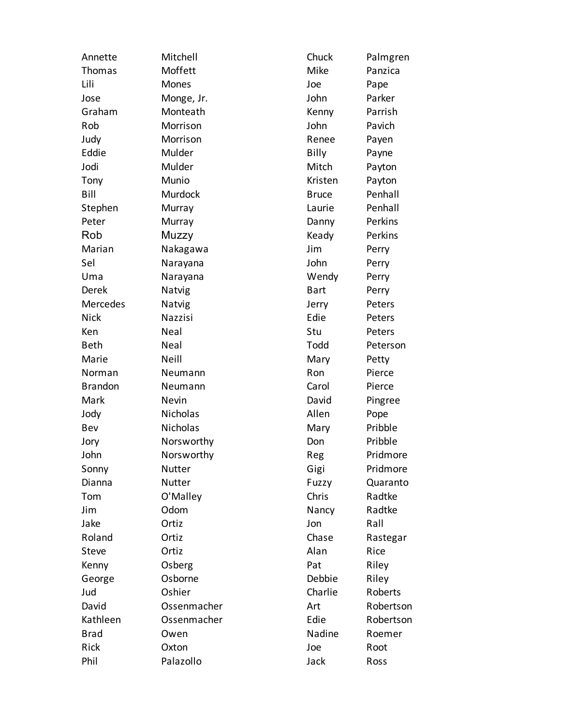| Annette         | Mitchell      | Chuck        | Palmgren  |
|-----------------|---------------|--------------|-----------|
| Thomas          | Moffett       | Mike         | Panzica   |
| Lili            | Mones         | Joe          | Pape      |
| Jose            | Monge, Jr.    | John         | Parker    |
| Graham          | Monteath      | Kenny        | Parrish   |
| Rob             | Morrison      | John         | Pavich    |
| Judy            | Morrison      | Renee        | Payen     |
| Eddie           | Mulder        | Billy        | Payne     |
| Jodi            | Mulder        | Mitch        | Payton    |
| Tony            | Munio         | Kristen      | Payton    |
| Bill            | Murdock       | <b>Bruce</b> | Penhall   |
| Stephen         | Murray        | Laurie       | Penhall   |
| Peter           | Murray        | Danny        | Perkins   |
| Rob             | Muzzy         | Keady        | Perkins   |
| Marian          | Nakagawa      | Jim          | Perry     |
| Sel             | Narayana      | John         | Perry     |
| Uma             | Narayana      | Wendy        | Perry     |
| Derek           | Natvig        | <b>Bart</b>  | Perry     |
| <b>Mercedes</b> | Natvig        | Jerry        | Peters    |
| <b>Nick</b>     | Nazzisi       | Edie         | Peters    |
| Ken             | Neal          | Stu          | Peters    |
| <b>Beth</b>     | Neal          | Todd         | Peterson  |
| Marie           | Neill         | Mary         | Petty     |
| Norman          | Neumann       | Ron          | Pierce    |
| <b>Brandon</b>  | Neumann       | Carol        | Pierce    |
| Mark            | Nevin         | David        | Pingree   |
| Jody            | Nicholas      | Allen        | Pope      |
| Bev             | Nicholas      | Mary         | Pribble   |
| Jory            | Norsworthy    | Don          | Pribble   |
| John            | Norsworthy    | Reg          | Pridmore  |
| Sonny           | Nutter        | Gigi         | Pridmore  |
| Dianna          | <b>Nutter</b> | Fuzzy        | Quaranto  |
| Tom             | O'Malley      | Chris        | Radtke    |
| Jim             | Odom          | Nancy        | Radtke    |
| Jake            | Ortiz         | Jon          | Rall      |
| Roland          | Ortiz         | Chase        | Rastegar  |
| <b>Steve</b>    | Ortiz         | Alan         | Rice      |
| Kenny           | Osberg        | Pat          | Riley     |
| George          | Osborne       | Debbie       | Riley     |
| Jud             | Oshier        | Charlie      | Roberts   |
| David           | Ossenmacher   | Art          | Robertson |
| Kathleen        | Ossenmacher   | Edie         | Robertson |
| <b>Brad</b>     | Owen          | Nadine       | Roemer    |
| Rick            | Oxton         | Joe          | Root      |
| Phil            | Palazollo     | Jack         | Ross      |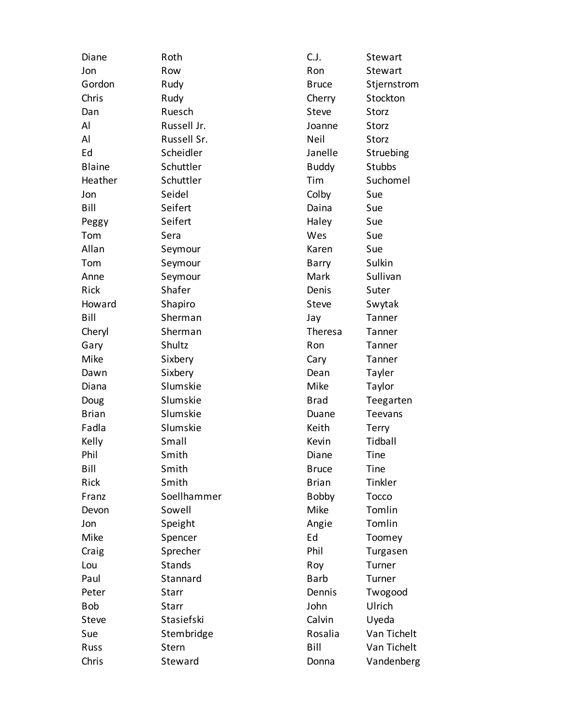| Diane         | Roth          | C.J.           | Stewart        |
|---------------|---------------|----------------|----------------|
| Jon           | Row           | Ron            | Stewart        |
| Gordon        | Rudy          | <b>Bruce</b>   | Stjernstrom    |
| Chris         | Rudy          | Cherry         | Stockton       |
| Dan           | Ruesch        | <b>Steve</b>   | Storz          |
| Al            | Russell Jr.   | Joanne         | Storz          |
| Al            | Russell Sr.   | Neil           | Storz          |
| Ed            | Scheidler     | Janelle        | Struebing      |
| <b>Blaine</b> | Schuttler     | <b>Buddy</b>   | <b>Stubbs</b>  |
| Heather       | Schuttler     | Tim            | Suchomel       |
| Jon           | Seidel        | Colby          | Sue            |
| Bill          | Seifert       | Daina          | Sue            |
| Peggy         | Seifert       | Haley          | Sue            |
| Tom           | Sera          | Wes            | Sue            |
| Allan         | Seymour       | Karen          | Sue            |
| Tom           | Seymour       | Barry          | Sulkin         |
| Anne          | Seymour       | Mark           | Sullivan       |
| Rick          | Shafer        | Denis          | Suter          |
| Howard        | Shapiro       | <b>Steve</b>   | Swytak         |
| Bill          | Sherman       | Jay            | Tanner         |
| Cheryl        | Sherman       | <b>Theresa</b> | Tanner         |
| Gary          | Shultz        | Ron            | Tanner         |
| Mike          | Sixbery       | Cary           | Tanner         |
| Dawn          | Sixbery       | Dean           | Tayler         |
| Diana         | Slumskie      | Mike           | Taylor         |
| Doug          | Slumskie      | <b>Brad</b>    | Teegarten      |
| <b>Brian</b>  | Slumskie      | Duane          | <b>Teevans</b> |
| Fadla         | Slumskie      | Keith          | Terry          |
| Kelly         | Small         | Kevin          | Tidball        |
| Phil          | Smith         | Diane          | Tine           |
| Bill          | Smith         | <b>Bruce</b>   | Tine           |
| Rick          | Smith         | <b>Brian</b>   | Tinkler        |
| Franz         | Soellhammer   | <b>Bobby</b>   | Tocco          |
| Devon         | Sowell        | Mike           | Tomlin         |
| Jon           | Speight       | Angie          | Tomlin         |
| Mike          | Spencer       | Ed             | Toomey         |
| Craig         | Sprecher      | Phil           | Turgasen       |
| Lou           | <b>Stands</b> | Roy            | Turner         |
| Paul          | Stannard      | <b>Barb</b>    | Turner         |
| Peter         | Starr         | Dennis         | Twogood        |
| <b>Bob</b>    | Starr         | John           | Ulrich         |
| <b>Steve</b>  | Stasiefski    | Calvin         | Uyeda          |
| Sue           | Stembridge    | Rosalia        | Van Tichelt    |
| Russ          | Stern         | Bill           | Van Tichelt    |
| Chris         | Steward       | Donna          | Vandenberg     |